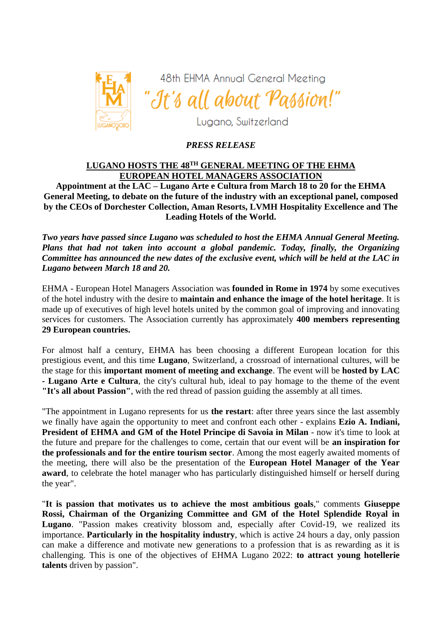

48th EHMA Annual General Meeting "It's all about Passion!"

Lugano, Switzerland

# *PRESS RELEASE*

## **LUGANO HOSTS THE 48TH GENERAL MEETING OF THE EHMA EUROPEAN HOTEL MANAGERS ASSOCIATION**

**Appointment at the LAC – Lugano Arte e Cultura from March 18 to 20 for the EHMA General Meeting, to debate on the future of the industry with an exceptional panel, composed by the CEOs of Dorchester Collection, Aman Resorts, LVMH Hospitality Excellence and The Leading Hotels of the World.**

*Two years have passed since Lugano was scheduled to host the EHMA Annual General Meeting. Plans that had not taken into account a global pandemic. Today, finally, the Organizing Committee has announced the new dates of the exclusive event, which will be held at the LAC in Lugano between March 18 and 20.*

EHMA - European Hotel Managers Association was **founded in Rome in 1974** by some executives of the hotel industry with the desire to **maintain and enhance the image of the hotel heritage**. It is made up of executives of high level hotels united by the common goal of improving and innovating services for customers. The Association currently has approximately **400 members representing 29 European countries.**

For almost half a century, EHMA has been choosing a different European location for this prestigious event, and this time **Lugano**, Switzerland, a crossroad of international cultures, will be the stage for this **important moment of meeting and exchange**. The event will be **hosted by LAC - Lugano Arte e Cultura**, the city's cultural hub, ideal to pay homage to the theme of the event **"It's all about Passion"**, with the red thread of passion guiding the assembly at all times.

"The appointment in Lugano represents for us **the restart**: after three years since the last assembly we finally have again the opportunity to meet and confront each other - explains **Ezio A. Indiani, President of EHMA and GM of the Hotel Principe di Savoia in Milan** - now it's time to look at the future and prepare for the challenges to come, certain that our event will be **an inspiration for the professionals and for the entire tourism sector**. Among the most eagerly awaited moments of the meeting, there will also be the presentation of the **European Hotel Manager of the Year award**, to celebrate the hotel manager who has particularly distinguished himself or herself during the year".

"**It is passion that motivates us to achieve the most ambitious goals**," comments **Giuseppe Rossi, Chairman of the Organizing Committee and GM of the Hotel Splendide Royal in Lugano**. "Passion makes creativity blossom and, especially after Covid-19, we realized its importance. **Particularly in the hospitality industry**, which is active 24 hours a day, only passion can make a difference and motivate new generations to a profession that is as rewarding as it is challenging. This is one of the objectives of EHMA Lugano 2022: **to attract young hotellerie talents** driven by passion".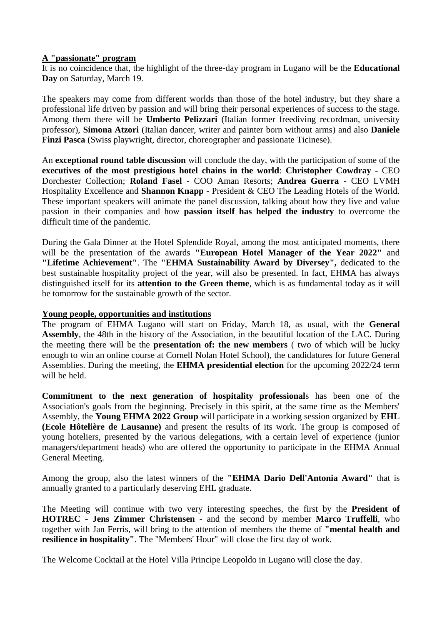#### **A "passionate" program**

It is no coincidence that, the highlight of the three-day program in Lugano will be the **Educational Day** on Saturday, March 19.

The speakers may come from different worlds than those of the hotel industry, but they share a professional life driven by passion and will bring their personal experiences of success to the stage. Among them there will be **Umberto Pelizzari** (Italian former freediving recordman, university professor), **Simona Atzori** (Italian dancer, writer and painter born without arms) and also **Daniele Finzi Pasca** (Swiss playwright, director, choreographer and passionate Ticinese).

An **exceptional round table discussion** will conclude the day, with the participation of some of the **executives of the most prestigious hotel chains in the world**: **Christopher Cowdray** - CEO Dorchester Collection; **Roland Fasel** - COO Aman Resorts; **Andrea Guerra** - CEO LVMH Hospitality Excellence and **Shannon Knapp** - President & CEO The Leading Hotels of the World. These important speakers will animate the panel discussion, talking about how they live and value passion in their companies and how **passion itself has helped the industry** to overcome the difficult time of the pandemic.

During the Gala Dinner at the Hotel Splendide Royal, among the most anticipated moments, there will be the presentation of the awards **"European Hotel Manager of the Year 2022"** and **"Lifetime Achievement"**. The **"EHMA Sustainability Award by Diversey",** dedicated to the best sustainable hospitality project of the year, will also be presented. In fact, EHMA has always distinguished itself for its **attention to the Green theme**, which is as fundamental today as it will be tomorrow for the sustainable growth of the sector.

#### **Young people, opportunities and institutions**

The program of EHMA Lugano will start on Friday, March 18, as usual, with the **General Assembly**, the 48th in the history of the Association, in the beautiful location of the LAC. During the meeting there will be the **presentation of: the new members** ( two of which will be lucky enough to win an online course at Cornell Nolan Hotel School), the candidatures for future General Assemblies. During the meeting, the **EHMA presidential election** for the upcoming 2022/24 term will be held.

**Commitment to the next generation of hospitality professional**s has been one of the Association's goals from the beginning. Precisely in this spirit, at the same time as the Members' Assembly, the **Young EHMA 2022 Group** will participate in a working session organized by **EHL (Ecole Hôtelière de Lausanne)** and present the results of its work. The group is composed of young hoteliers, presented by the various delegations, with a certain level of experience (junior managers/department heads) who are offered the opportunity to participate in the EHMA Annual General Meeting.

Among the group, also the latest winners of the **"EHMA Dario Dell'Antonia Award"** that is annually granted to a particularly deserving EHL graduate.

The Meeting will continue with two very interesting speeches, the first by the **President of HOTREC - Jens Zimmer Christensen** - and the second by member **Marco Truffelli**, who together with Jan Ferris, will bring to the attention of members the theme of **"mental health and resilience in hospitality"**. The "Members' Hour" will close the first day of work.

The Welcome Cocktail at the Hotel Villa Principe Leopoldo in Lugano will close the day.